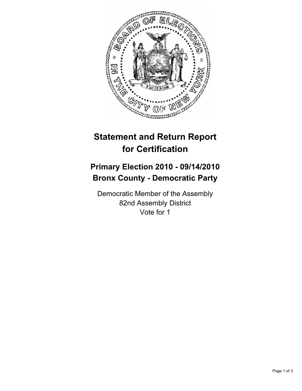

## **Statement and Return Report for Certification**

## **Primary Election 2010 - 09/14/2010 Bronx County - Democratic Party**

Democratic Member of the Assembly 82nd Assembly District Vote for 1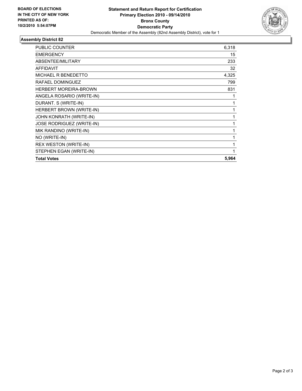

## **Assembly District 82**

| <b>PUBLIC COUNTER</b>        | 6,318        |
|------------------------------|--------------|
| <b>EMERGENCY</b>             | 15           |
| ABSENTEE/MILITARY            | 233          |
| <b>AFFIDAVIT</b>             | 32           |
| MICHAEL R BENEDETTO          | 4,325        |
| RAFAEL DOMINGUEZ             | 799          |
| <b>HERBERT MOREIRA-BROWN</b> | 831          |
| ANGELA ROSARIO (WRITE-IN)    | 1            |
| DURANT. S (WRITE-IN)         | 1            |
| HERBERT BROWN (WRITE-IN)     | 1            |
| JOHN KONRATH (WRITE-IN)      | 1            |
| JOSE RODRIGUEZ (WRITE-IN)    | 1            |
| MIK RANDINO (WRITE-IN)       | 1            |
| NO (WRITE-IN)                | 1            |
| <b>REX WESTON (WRITE-IN)</b> | $\mathbf{1}$ |
| STEPHEN EGAN (WRITE-IN)      | 1            |
| <b>Total Votes</b>           | 5,964        |